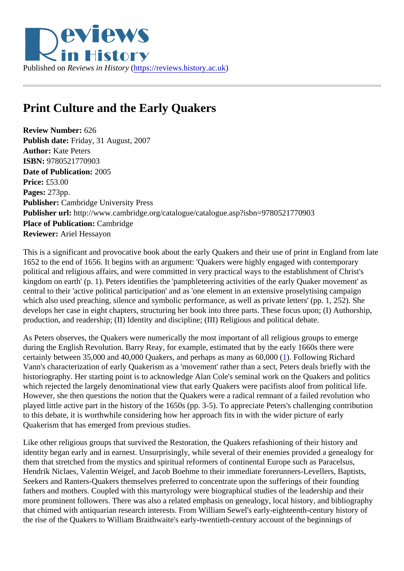

## **Print Culture and the Early Quakers**

**Review Number:** 626 **Publish date:** Friday, 31 August, 2007 **Author:** Kate Peters **ISBN:** 9780521770903 **Date of Publication:** 2005 **Price:** £53.00 **Pages:** 273pp. **Publisher:** Cambridge University Press **Publisher url:** http://www.cambridge.org/catalogue/catalogue.asp?isbn=9780521770903 **Place of Publication:** Cambridge **Reviewer:** Ariel Hessayon

This is a significant and provocative book about the early Quakers and their use of print in England from late 1652 to the end of 1656. It begins with an argument: 'Quakers were highly engaged with contemporary political and religious affairs, and were committed in very practical ways to the establishment of Christ's kingdom on earth' (p. 1). Peters identifies the 'pamphleteering activities of the early Quaker movement' as central to their 'active political participation' and as 'one element in an extensive proselytising campaign which also used preaching, silence and symbolic performance, as well as private letters' (pp. 1, 252). She develops her case in eight chapters, structuring her book into three parts. These focus upon; (I) Authorship, production, and readership; (II) Identity and discipline; (III) Religious and political debate.

As Peters observes, the Quakers were numerically the most important of all religious groups to emerge during the English Revolution. Barry Reay, for example, estimated that by the early 1660s there were certainly between 35,000 and 40,000 Quakers, and perhaps as many as 60,000 (1). Following Richard Vann's characterization of early Quakerism as a 'movement' rather than a sect, Peters deals briefly with the historiography. Her starting point is to acknowledge Alan Cole's seminal work on the Quakers and politics which rejected the largely denominational view that early Quakers were pacifists aloof from political life. However, she then questions the notion that the Quakers were a radical remnant of a failed revolution who played little active part in the history of the 1650s (pp. 3-5). To appreciate Peters's challenging contribution to this debate, it is worthwhile considering how her approach fits in with the wider picture of early Quakerism that has emerged from previous studies.

Like other religious groups that survived the Restoration, the Quakers refashioning of their history and identity began early and in earnest. Unsurprisingly, while several of their enemies provided a genealogy for them that stretched from the mystics and spiritual reformers of continental Europe such as Paracelsus, Hendrik Niclaes, Valentin Weigel, and Jacob Boehme to their immediate forerunners-Levellers, Baptists, Seekers and Ranters-Quakers themselves preferred to concentrate upon the sufferings of their founding fathers and mothers. Coupled with this martyrology were biographical studies of the leadership and their more prominent followers. There was also a related emphasis on genealogy, local history, and bibliography that chimed with antiquarian research interests. From William Sewel's early-eighteenth-century history of the rise of the Quakers to William Braithwaite's early-twentieth-century account of the beginnings of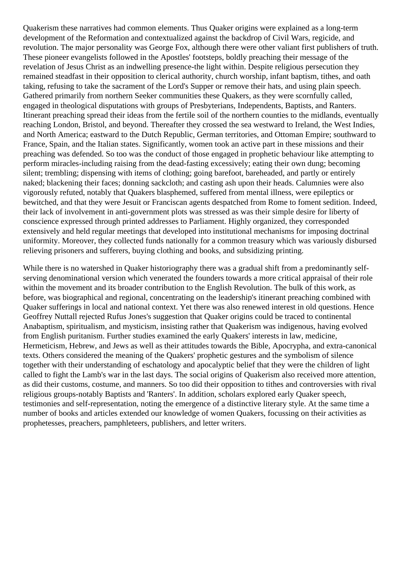Quakerism these narratives had common elements. Thus Quaker origins were explained as a long-term development of the Reformation and contextualized against the backdrop of Civil Wars, regicide, and revolution. The major personality was George Fox, although there were other valiant first publishers of truth. These pioneer evangelists followed in the Apostles' footsteps, boldly preaching their message of the revelation of Jesus Christ as an indwelling presence-the light within. Despite religious persecution they remained steadfast in their opposition to clerical authority, church worship, infant baptism, tithes, and oath taking, refusing to take the sacrament of the Lord's Supper or remove their hats, and using plain speech. Gathered primarily from northern Seeker communities these Quakers, as they were scornfully called, engaged in theological disputations with groups of Presbyterians, Independents, Baptists, and Ranters. Itinerant preaching spread their ideas from the fertile soil of the northern counties to the midlands, eventually reaching London, Bristol, and beyond. Thereafter they crossed the sea westward to Ireland, the West Indies, and North America; eastward to the Dutch Republic, German territories, and Ottoman Empire; southward to France, Spain, and the Italian states. Significantly, women took an active part in these missions and their preaching was defended. So too was the conduct of those engaged in prophetic behaviour like attempting to perform miracles-including raising from the dead-fasting excessively; eating their own dung; becoming silent; trembling; dispensing with items of clothing; going barefoot, bareheaded, and partly or entirely naked; blackening their faces; donning sackcloth; and casting ash upon their heads. Calumnies were also vigorously refuted, notably that Quakers blasphemed, suffered from mental illness, were epileptics or bewitched, and that they were Jesuit or Franciscan agents despatched from Rome to foment sedition. Indeed, their lack of involvement in anti-government plots was stressed as was their simple desire for liberty of conscience expressed through printed addresses to Parliament. Highly organized, they corresponded extensively and held regular meetings that developed into institutional mechanisms for imposing doctrinal uniformity. Moreover, they collected funds nationally for a common treasury which was variously disbursed relieving prisoners and sufferers, buying clothing and books, and subsidizing printing.

While there is no watershed in Quaker historiography there was a gradual shift from a predominantly selfserving denominational version which venerated the founders towards a more critical appraisal of their role within the movement and its broader contribution to the English Revolution. The bulk of this work, as before, was biographical and regional, concentrating on the leadership's itinerant preaching combined with Quaker sufferings in local and national context. Yet there was also renewed interest in old questions. Hence Geoffrey Nuttall rejected Rufus Jones's suggestion that Quaker origins could be traced to continental Anabaptism, spiritualism, and mysticism, insisting rather that Quakerism was indigenous, having evolved from English puritanism. Further studies examined the early Quakers' interests in law, medicine, Hermeticism, Hebrew, and Jews as well as their attitudes towards the Bible, Apocrypha, and extra-canonical texts. Others considered the meaning of the Quakers' prophetic gestures and the symbolism of silence together with their understanding of eschatology and apocalyptic belief that they were the children of light called to fight the Lamb's war in the last days. The social origins of Quakerism also received more attention, as did their customs, costume, and manners. So too did their opposition to tithes and controversies with rival religious groups-notably Baptists and 'Ranters'. In addition, scholars explored early Quaker speech, testimonies and self-representation, noting the emergence of a distinctive literary style. At the same time a number of books and articles extended our knowledge of women Quakers, focussing on their activities as prophetesses, preachers, pamphleteers, publishers, and letter writers.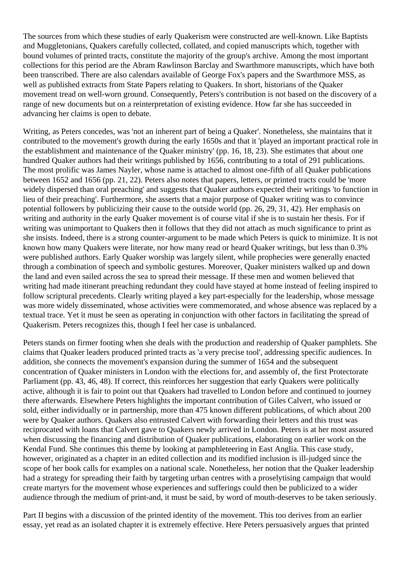The sources from which these studies of early Quakerism were constructed are well-known. Like Baptists and Muggletonians, Quakers carefully collected, collated, and copied manuscripts which, together with bound volumes of printed tracts, constitute the majority of the group's archive. Among the most important collections for this period are the Abram Rawlinson Barclay and Swarthmore manuscripts, which have both been transcribed. There are also calendars available of George Fox's papers and the Swarthmore MSS, as well as published extracts from State Papers relating to Quakers. In short, historians of the Quaker movement tread on well-worn ground. Consequently, Peters's contribution is not based on the discovery of a range of new documents but on a reinterpretation of existing evidence. How far she has succeeded in advancing her claims is open to debate.

Writing, as Peters concedes, was 'not an inherent part of being a Quaker'. Nonetheless, she maintains that it contributed to the movement's growth during the early 1650s and that it 'played an important practical role in the establishment and maintenance of the Quaker ministry' (pp. 16, 18, 23). She estimates that about one hundred Quaker authors had their writings published by 1656, contributing to a total of 291 publications. The most prolific was James Nayler, whose name is attached to almost one-fifth of all Quaker publications between 1652 and 1656 (pp. 21, 22). Peters also notes that papers, letters, or printed tracts could be 'more widely dispersed than oral preaching' and suggests that Quaker authors expected their writings 'to function in lieu of their preaching'. Furthermore, she asserts that a major purpose of Quaker writing was to convince potential followers by publicizing their cause to the outside world (pp. 26, 29, 31, 42). Her emphasis on writing and authority in the early Quaker movement is of course vital if she is to sustain her thesis. For if writing was unimportant to Quakers then it follows that they did not attach as much significance to print as she insists. Indeed, there is a strong counter-argument to be made which Peters is quick to minimize. It is not known how many Quakers were literate, nor how many read or heard Quaker writings, but less than 0.3% were published authors. Early Quaker worship was largely silent, while prophecies were generally enacted through a combination of speech and symbolic gestures. Moreover, Quaker ministers walked up and down the land and even sailed across the sea to spread their message. If these men and women believed that writing had made itinerant preaching redundant they could have stayed at home instead of feeling inspired to follow scriptural precedents. Clearly writing played a key part-especially for the leadership, whose message was more widely disseminated, whose activities were commemorated, and whose absence was replaced by a textual trace. Yet it must be seen as operating in conjunction with other factors in facilitating the spread of Quakerism. Peters recognizes this, though I feel her case is unbalanced.

Peters stands on firmer footing when she deals with the production and readership of Quaker pamphlets. She claims that Quaker leaders produced printed tracts as 'a very precise tool', addressing specific audiences. In addition, she connects the movement's expansion during the summer of 1654 and the subsequent concentration of Quaker ministers in London with the elections for, and assembly of, the first Protectorate Parliament (pp. 43, 46, 48). If correct, this reinforces her suggestion that early Quakers were politically active, although it is fair to point out that Quakers had travelled to London before and continued to journey there afterwards. Elsewhere Peters highlights the important contribution of Giles Calvert, who issued or sold, either individually or in partnership, more than 475 known different publications, of which about 200 were by Quaker authors. Quakers also entrusted Calvert with forwarding their letters and this trust was reciprocated with loans that Calvert gave to Quakers newly arrived in London. Peters is at her most assured when discussing the financing and distribution of Quaker publications, elaborating on earlier work on the Kendal Fund. She continues this theme by looking at pamphleteering in East Anglia. This case study, however, originated as a chapter in an edited collection and its modified inclusion is ill-judged since the scope of her book calls for examples on a national scale. Nonetheless, her notion that the Quaker leadership had a strategy for spreading their faith by targeting urban centres with a proselytising campaign that would create martyrs for the movement whose experiences and sufferings could then be publicized to a wider audience through the medium of print-and, it must be said, by word of mouth-deserves to be taken seriously.

Part II begins with a discussion of the printed identity of the movement. This too derives from an earlier essay, yet read as an isolated chapter it is extremely effective. Here Peters persuasively argues that printed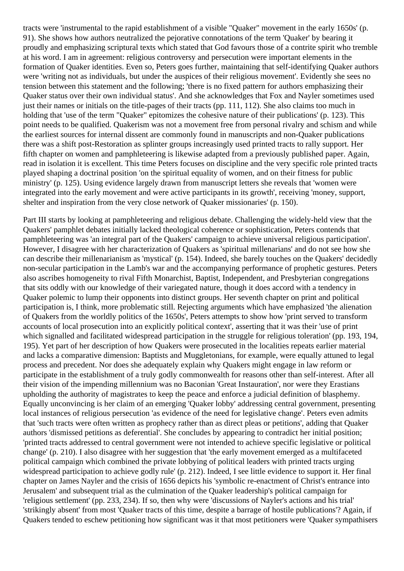tracts were 'instrumental to the rapid establishment of a visible "Quaker" movement in the early 1650s' (p. 91). She shows how authors neutralized the pejorative connotations of the term 'Quaker' by bearing it proudly and emphasizing scriptural texts which stated that God favours those of a contrite spirit who tremble at his word. I am in agreement: religious controversy and persecution were important elements in the formation of Quaker identities. Even so, Peters goes further, maintaining that self-identifying Quaker authors were 'writing not as individuals, but under the auspices of their religious movement'. Evidently she sees no tension between this statement and the following; 'there is no fixed pattern for authors emphasizing their Quaker status over their own individual status'. And she acknowledges that Fox and Nayler sometimes used just their names or initials on the title-pages of their tracts (pp. 111, 112). She also claims too much in holding that 'use of the term "Quaker" epitomizes the cohesive nature of their publications' (p. 123). This point needs to be qualified. Quakerism was not a movement free from personal rivalry and schism and while the earliest sources for internal dissent are commonly found in manuscripts and non-Quaker publications there was a shift post-Restoration as splinter groups increasingly used printed tracts to rally support. Her fifth chapter on women and pamphleteering is likewise adapted from a previously published paper. Again, read in isolation it is excellent. This time Peters focuses on discipline and the very specific role printed tracts played shaping a doctrinal position 'on the spiritual equality of women, and on their fitness for public ministry' (p. 125). Using evidence largely drawn from manuscript letters she reveals that 'women were integrated into the early movement and were active participants in its growth', receiving 'money, support, shelter and inspiration from the very close network of Quaker missionaries' (p. 150).

Part III starts by looking at pamphleteering and religious debate. Challenging the widely-held view that the Quakers' pamphlet debates initially lacked theological coherence or sophistication, Peters contends that pamphleteering was 'an integral part of the Quakers' campaign to achieve universal religious participation'. However, I disagree with her characterization of Quakers as 'spiritual millenarians' and do not see how she can describe their millenarianism as 'mystical' (p. 154). Indeed, she barely touches on the Quakers' decidedly non-secular participation in the Lamb's war and the accompanying performance of prophetic gestures. Peters also ascribes homogeneity to rival Fifth Monarchist, Baptist, Independent, and Presbyterian congregations that sits oddly with our knowledge of their variegated nature, though it does accord with a tendency in Quaker polemic to lump their opponents into distinct groups. Her seventh chapter on print and political participation is, I think, more problematic still. Rejecting arguments which have emphasized 'the alienation of Quakers from the worldly politics of the 1650s', Peters attempts to show how 'print served to transform accounts of local prosecution into an explicitly political context', asserting that it was their 'use of print which signalled and facilitated widespread participation in the struggle for religious toleration' (pp. 193, 194, 195). Yet part of her description of how Quakers were prosecuted in the localities repeats earlier material and lacks a comparative dimension: Baptists and Muggletonians, for example, were equally attuned to legal process and precedent. Nor does she adequately explain why Quakers might engage in law reform or participate in the establishment of a truly godly commonwealth for reasons other than self-interest. After all their vision of the impending millennium was no Baconian 'Great Instauration', nor were they Erastians upholding the authority of magistrates to keep the peace and enforce a judicial definition of blasphemy. Equally unconvincing is her claim of an emerging 'Quaker lobby' addressing central government, presenting local instances of religious persecution 'as evidence of the need for legislative change'. Peters even admits that 'such tracts were often written as prophecy rather than as direct pleas or petitions', adding that Quaker authors 'dismissed petitions as deferential'. She concludes by appearing to contradict her initial position; 'printed tracts addressed to central government were not intended to achieve specific legislative or political change' (p. 210). I also disagree with her suggestion that 'the early movement emerged as a multifaceted political campaign which combined the private lobbying of political leaders with printed tracts urging widespread participation to achieve godly rule' (p. 212). Indeed, I see little evidence to support it. Her final chapter on James Nayler and the crisis of 1656 depicts his 'symbolic re-enactment of Christ's entrance into Jerusalem' and subsequent trial as the culmination of the Quaker leadership's political campaign for 'religious settlement' (pp. 233, 234). If so, then why were 'discussions of Nayler's actions and his trial' 'strikingly absent' from most 'Quaker tracts of this time, despite a barrage of hostile publications'? Again, if Quakers tended to eschew petitioning how significant was it that most petitioners were 'Quaker sympathisers